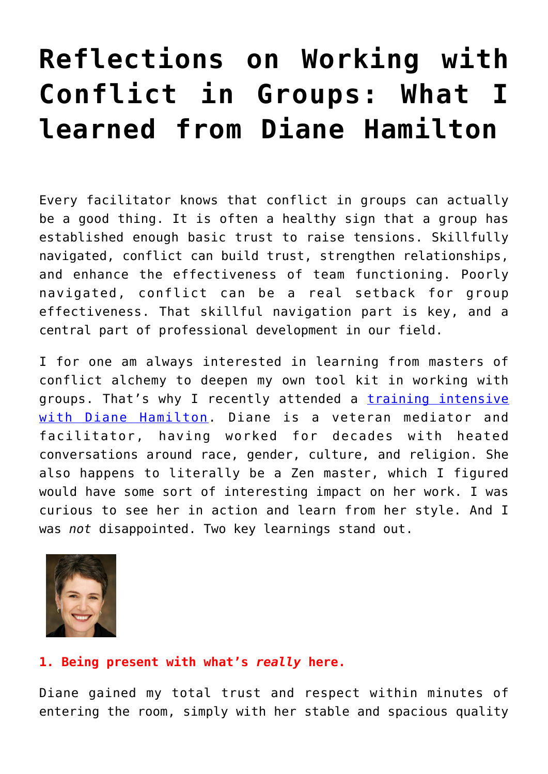## **[Reflections on Working with](https://groupaya.net/reflections-on-working-with-conflict-in-groups-what-i-learned-from-diane-hamilton/) [Conflict in Groups: What I](https://groupaya.net/reflections-on-working-with-conflict-in-groups-what-i-learned-from-diane-hamilton/) [learned from Diane Hamilton](https://groupaya.net/reflections-on-working-with-conflict-in-groups-what-i-learned-from-diane-hamilton/)**

Every facilitator knows that conflict in groups can actually be a good thing. It is often a healthy sign that a group has established enough basic trust to raise tensions. Skillfully navigated, conflict can build trust, strengthen relationships, and enhance the effectiveness of team functioning. Poorly navigated, conflict can be a real setback for group effectiveness. That skillful navigation part is key, and a central part of professional development in our field.

I for one am always interested in learning from masters of conflict alchemy to deepen my own tool kit in working with groups. That's why I recently attended a [training intensive](https://tendirections.com/next-stage-facilitation-3-day-intensive/) [with Diane Hamilton](https://tendirections.com/next-stage-facilitation-3-day-intensive/). Diane is a veteran mediator and facilitator, having worked for decades with heated conversations around race, gender, culture, and religion. She also happens to literally be a Zen master, which I figured would have some sort of interesting impact on her work. I was curious to see her in action and learn from her style. And I was *not* disappointed. Two key learnings stand out.



## **1. Being present with what's** *really* **here.**

Diane gained my total trust and respect within minutes of entering the room, simply with her stable and spacious quality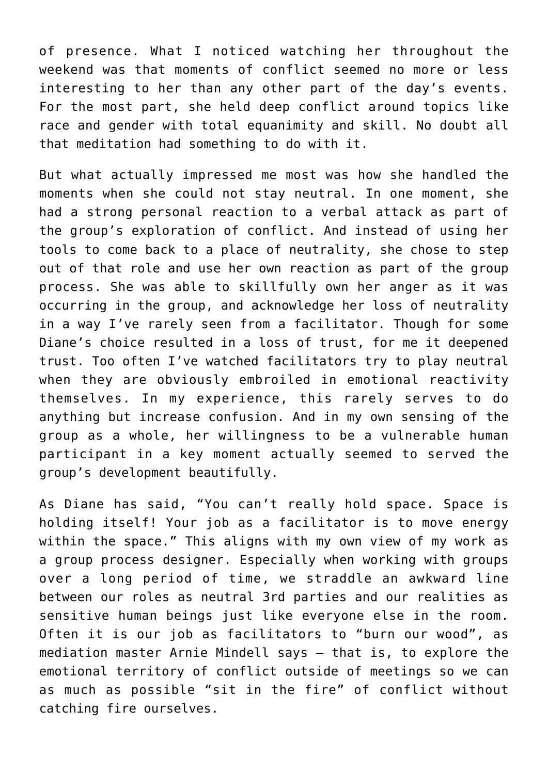of presence. What I noticed watching her throughout the weekend was that moments of conflict seemed no more or less interesting to her than any other part of the day's events. For the most part, she held deep conflict around topics like race and gender with total equanimity and skill. No doubt all that meditation had something to do with it.

But what actually impressed me most was how she handled the moments when she could not stay neutral. In one moment, she had a strong personal reaction to a verbal attack as part of the group's exploration of conflict. And instead of using her tools to come back to a place of neutrality, she chose to step out of that role and use her own reaction as part of the group process. She was able to skillfully own her anger as it was occurring in the group, and acknowledge her loss of neutrality in a way I've rarely seen from a facilitator. Though for some Diane's choice resulted in a loss of trust, for me it deepened trust. Too often I've watched facilitators try to play neutral when they are obviously embroiled in emotional reactivity themselves. In my experience, this rarely serves to do anything but increase confusion. And in my own sensing of the group as a whole, her willingness to be a vulnerable human participant in a key moment actually seemed to served the group's development beautifully.

As Diane has said, "You can't really hold space. Space is holding itself! Your job as a facilitator is to move energy within the space." This aligns with my own view of my work as a group process designer. Especially when working with groups over a long period of time, we straddle an awkward line between our roles as neutral 3rd parties and our realities as sensitive human beings just like everyone else in the room. Often it is our job as facilitators to "burn our wood", as mediation master Arnie Mindell says — that is, to explore the emotional territory of conflict outside of meetings so we can as much as possible "sit in the fire" of conflict without catching fire ourselves.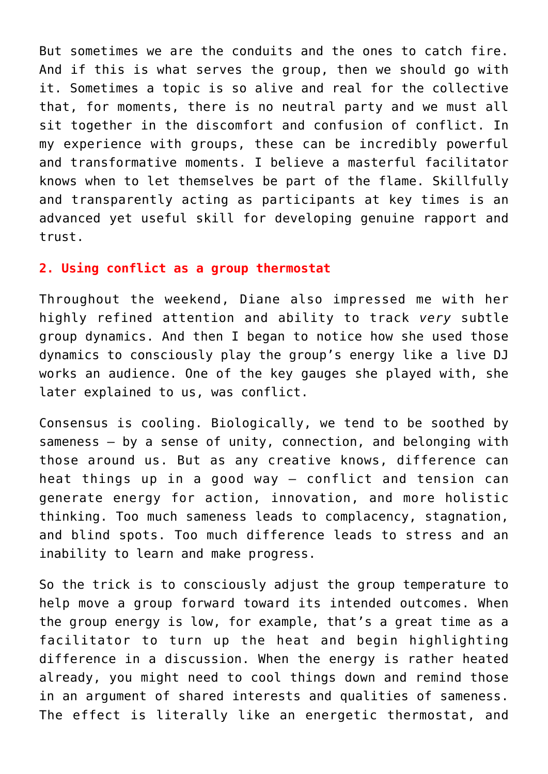But sometimes we are the conduits and the ones to catch fire. And if this is what serves the group, then we should go with it. Sometimes a topic is so alive and real for the collective that, for moments, there is no neutral party and we must all sit together in the discomfort and confusion of conflict. In my experience with groups, these can be incredibly powerful and transformative moments. I believe a masterful facilitator knows when to let themselves be part of the flame. Skillfully and transparently acting as participants at key times is an advanced yet useful skill for developing genuine rapport and trust.

## **2. Using conflict as a group thermostat**

Throughout the weekend, Diane also impressed me with her highly refined attention and ability to track *very* subtle group dynamics. And then I began to notice how she used those dynamics to consciously play the group's energy like a live DJ works an audience. One of the key gauges she played with, she later explained to us, was conflict.

Consensus is cooling. Biologically, we tend to be soothed by sameness — by a sense of unity, connection, and belonging with those around us. But as any creative knows, difference can heat things up in a good way — conflict and tension can generate energy for action, innovation, and more holistic thinking. Too much sameness leads to complacency, stagnation, and blind spots. Too much difference leads to stress and an inability to learn and make progress.

So the trick is to consciously adjust the group temperature to help move a group forward toward its intended outcomes. When the group energy is low, for example, that's a great time as a facilitator to turn up the heat and begin highlighting difference in a discussion. When the energy is rather heated already, you might need to cool things down and remind those in an argument of shared interests and qualities of sameness. The effect is literally like an energetic thermostat, and